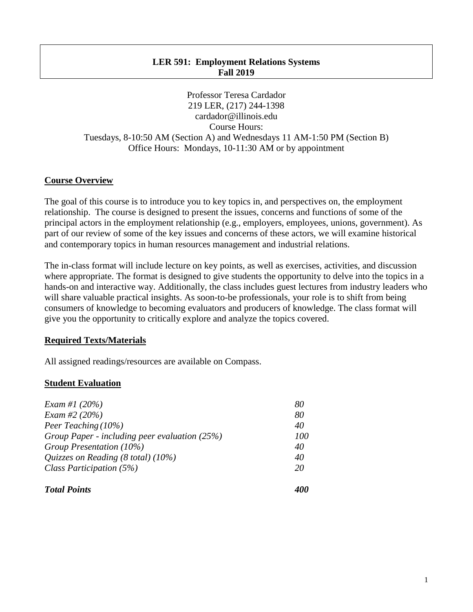#### **LER 591: Employment Relations Systems Fall 2019**

Professor Teresa Cardador 219 LER, (217) 244-1398 cardador@illinois.edu Course Hours: Tuesdays, 8-10:50 AM (Section A) and Wednesdays 11 AM-1:50 PM (Section B) Office Hours: Mondays, 10-11:30 AM or by appointment

# **Course Overview**

The goal of this course is to introduce you to key topics in, and perspectives on, the employment relationship. The course is designed to present the issues, concerns and functions of some of the principal actors in the employment relationship (e.g., employers, employees, unions, government). As part of our review of some of the key issues and concerns of these actors, we will examine historical and contemporary topics in human resources management and industrial relations.

The in-class format will include lecture on key points, as well as exercises, activities, and discussion where appropriate. The format is designed to give students the opportunity to delve into the topics in a hands-on and interactive way. Additionally, the class includes guest lectures from industry leaders who will share valuable practical insights. As soon-to-be professionals, your role is to shift from being consumers of knowledge to becoming evaluators and producers of knowledge. The class format will give you the opportunity to critically explore and analyze the topics covered.

# **Required Texts/Materials**

All assigned readings/resources are available on Compass.

# **Student Evaluation**

| Exam #1 $(20%)$                                 | 80  |
|-------------------------------------------------|-----|
| Exam #2 $(20%)$                                 | 80  |
| Peer Teaching $(10\%)$                          | 40  |
| Group Paper - including peer evaluation (25%)   | 100 |
| Group Presentation (10%)                        | 40  |
| Quizzes on Reading $(8 \text{ total})$ $(10\%)$ | 40  |
| Class Participation $(5%)$                      | 20  |
|                                                 |     |

#### *Total Points 400*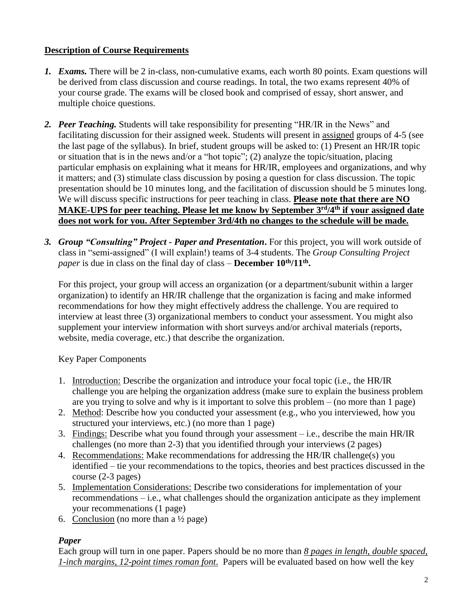# **Description of Course Requirements**

- *1. Exams.* There will be 2 in-class, non-cumulative exams, each worth 80 points. Exam questions will be derived from class discussion and course readings. In total, the two exams represent 40% of your course grade. The exams will be closed book and comprised of essay, short answer, and multiple choice questions.
- *2. Peer Teaching.* Students will take responsibility for presenting "HR/IR in the News" and facilitating discussion for their assigned week. Students will present in assigned groups of 4-5 (see the last page of the syllabus). In brief, student groups will be asked to: (1) Present an HR/IR topic or situation that is in the news and/or a "hot topic"; (2) analyze the topic/situation, placing particular emphasis on explaining what it means for HR/IR, employees and organizations, and why it matters; and (3) stimulate class discussion by posing a question for class discussion. The topic presentation should be 10 minutes long, and the facilitation of discussion should be 5 minutes long. We will discuss specific instructions for peer teaching in class. **Please note that there are NO MAKE-UPS for peer teaching. Please let me know by September 3rd/4th if your assigned date does not work for you. After September 3rd/4th no changes to the schedule will be made.**
- *3. Group "Consulting" Project - Paper and Presentation***.** For this project, you will work outside of class in "semi-assigned" (I will explain!) teams of 3-4 students. The *Group Consulting Project paper* is due in class on the final day of class – **December 10th/11th .**

For this project, your group will access an organization (or a department/subunit within a larger organization) to identify an HR/IR challenge that the organization is facing and make informed recommendations for how they might effectively address the challenge. You are required to interview at least three (3) organizational members to conduct your assessment. You might also supplement your interview information with short surveys and/or archival materials (reports, website, media coverage, etc.) that describe the organization.

Key Paper Components

- 1. Introduction: Describe the organization and introduce your focal topic (i.e., the HR/IR challenge you are helping the organization address (make sure to explain the business problem are you trying to solve and why is it important to solve this problem – (no more than 1 page)
- 2. Method: Describe how you conducted your assessment (e.g., who you interviewed, how you structured your interviews, etc.) (no more than 1 page)
- 3. Findings: Describe what you found through your assessment i.e., describe the main HR/IR challenges (no more than 2-3) that you identified through your interviews (2 pages)
- 4. Recommendations: Make recommendations for addressing the HR/IR challenge(s) you identified – tie your recommendations to the topics, theories and best practices discussed in the course (2-3 pages)
- 5. Implementation Considerations: Describe two considerations for implementation of your recommendations – i.e., what challenges should the organization anticipate as they implement your recommenations (1 page)
- 6. Conclusion (no more than a  $\frac{1}{2}$  page)

# *Paper*

Each group will turn in one paper. Papers should be no more than *8 pages in length, double spaced, 1-inch margins, 12-point times roman font*. Papers will be evaluated based on how well the key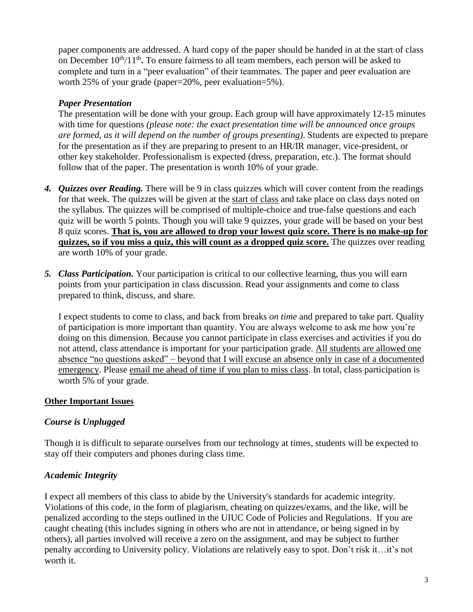paper components are addressed. A hard copy of the paper should be handed in at the start of class on December 10<sup>th</sup>/11<sup>th</sup>. To ensure fairness to all team members, each person will be asked to complete and turn in a "peer evaluation" of their teammates. The paper and peer evaluation are worth 25% of your grade (paper=20%, peer evaluation=5%).

# *Paper Presentation*

The presentation will be done with your group. Each group will have approximately 12-15 minutes with time for questions *(please note: the exact presentation time will be announced once groups are formed, as it will depend on the number of groups presenting)*. Students are expected to prepare for the presentation as if they are preparing to present to an HR/IR manager, vice-president, or other key stakeholder. Professionalism is expected (dress, preparation, etc.). The format should follow that of the paper. The presentation is worth 10% of your grade.

- *4. Quizzes over Reading.* There will be 9 in class quizzes which will cover content from the readings for that week. The quizzes will be given at the start of class and take place on class days noted on the syllabus. The quizzes will be comprised of multiple-choice and true-false questions and each quiz will be worth 5 points. Though you will take 9 quizzes, your grade will be based on your best 8 quiz scores. **That is, you are allowed to drop your lowest quiz score. There is no make-up for quizzes, so if you miss a quiz, this will count as a dropped quiz score.** The quizzes over reading are worth 10% of your grade.
- *5. Class Participation.* Your participation is critical to our collective learning, thus you will earn points from your participation in class discussion. Read your assignments and come to class prepared to think, discuss, and share.

I expect students to come to class, and back from breaks *on time* and prepared to take part. Quality of participation is more important than quantity. You are always welcome to ask me how you're doing on this dimension. Because you cannot participate in class exercises and activities if you do not attend, class attendance is important for your participation grade. All students are allowed one absence "no questions asked" – beyond that I will excuse an absence only in case of a documented emergency. Please email me ahead of time if you plan to miss class. In total, class participation is worth 5% of your grade.

# **Other Important Issues**

# *Course is Unplugged*

Though it is difficult to separate ourselves from our technology at times, students will be expected to stay off their computers and phones during class time.

# *Academic Integrity*

I expect all members of this class to abide by the University's standards for academic integrity. Violations of this code, in the form of plagiarism, cheating on quizzes/exams, and the like, will be penalized according to the steps outlined in the UIUC Code of Policies and Regulations. If you are caught cheating (this includes signing in others who are not in attendance, or being signed in by others), all parties involved will receive a zero on the assignment, and may be subject to further penalty according to University policy. Violations are relatively easy to spot. Don't risk it…it's not worth it.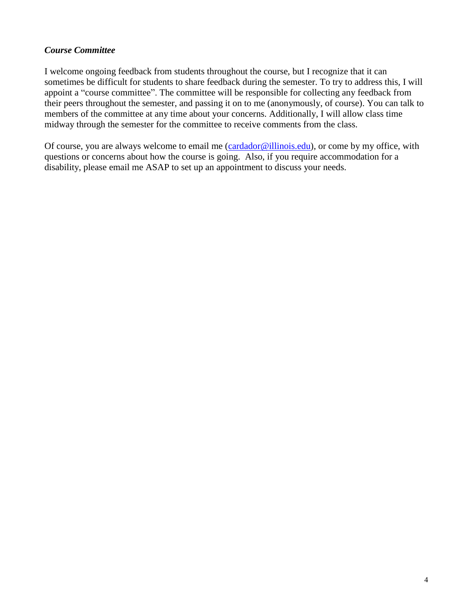#### *Course Committee*

I welcome ongoing feedback from students throughout the course, but I recognize that it can sometimes be difficult for students to share feedback during the semester. To try to address this, I will appoint a "course committee". The committee will be responsible for collecting any feedback from their peers throughout the semester, and passing it on to me (anonymously, of course). You can talk to members of the committee at any time about your concerns. Additionally, I will allow class time midway through the semester for the committee to receive comments from the class.

Of course, you are always welcome to email me [\(cardador@illinois.edu\)](mailto:cardador@illinois.edu), or come by my office, with questions or concerns about how the course is going. Also, if you require accommodation for a disability, please email me ASAP to set up an appointment to discuss your needs.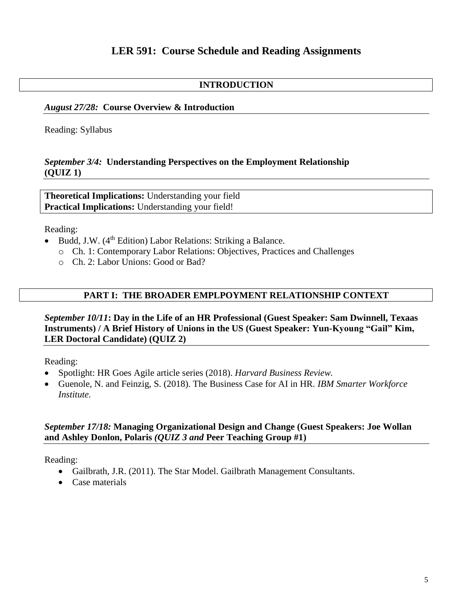# **INTRODUCTION**

#### *August 27/28:* **Course Overview & Introduction**

Reading: Syllabus

# *September 3/4:* **Understanding Perspectives on the Employment Relationship (QUIZ 1)**

**Theoretical Implications:** Understanding your field **Practical Implications:** Understanding your field!

Reading:

- $\bullet$  Budd, J.W. (4<sup>th</sup> Edition) Labor Relations: Striking a Balance.
	- o Ch. 1: Contemporary Labor Relations: Objectives, Practices and Challenges
	- o Ch. 2: Labor Unions: Good or Bad?

# **PART I: THE BROADER EMPLPOYMENT RELATIONSHIP CONTEXT**

#### *September 10/11***: Day in the Life of an HR Professional (Guest Speaker: Sam Dwinnell, Texaas Instruments) / A Brief History of Unions in the US (Guest Speaker: Yun-Kyoung "Gail" Kim, LER Doctoral Candidate) (QUIZ 2)**

Reading:

- Spotlight: HR Goes Agile article series (2018). *Harvard Business Review.*
- Guenole, N. and Feinzig, S. (2018). The Business Case for AI in HR. *IBM Smarter Workforce Institute.*

#### *September 17/18:* **Managing Organizational Design and Change (Guest Speakers: Joe Wollan and Ashley Donlon, Polaris** *(QUIZ 3 and* **Peer Teaching Group #1)**

Reading:

- Gailbrath, J.R. (2011). The Star Model. Gailbrath Management Consultants.
- Case materials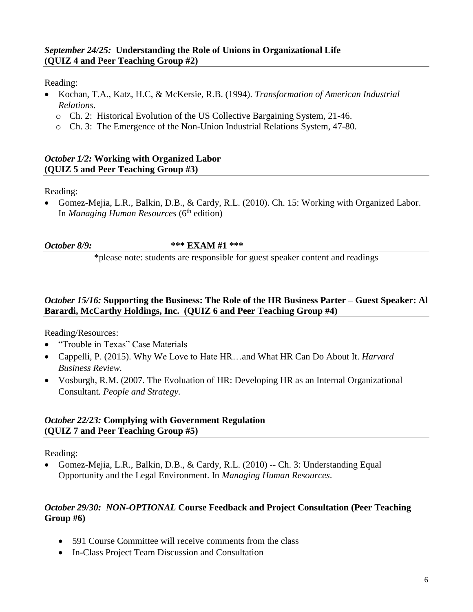Reading:

- Kochan, T.A., Katz, H.C, & McKersie, R.B. (1994). *Transformation of American Industrial Relations*.
	- o Ch. 2: Historical Evolution of the US Collective Bargaining System, 21-46.
	- o Ch. 3: The Emergence of the Non-Union Industrial Relations System, 47-80.

#### *October 1/2:* **Working with Organized Labor (QUIZ 5 and Peer Teaching Group #3)**

Reading:

 Gomez-Mejia, L.R., Balkin, D.B., & Cardy, R.L. (2010). Ch. 15: Working with Organized Labor. In *Managing Human Resources* (6<sup>th</sup> edition)

# *October 8/9:* **\*\*\* EXAM #1 \*\*\***

\*please note: students are responsible for guest speaker content and readings

# *October 15/16:* **Supporting the Business: The Role of the HR Business Parter – Guest Speaker: Al Barardi, McCarthy Holdings, Inc. (QUIZ 6 and Peer Teaching Group #4)**

Reading/Resources:

- "Trouble in Texas" Case Materials
- Cappelli, P. (2015). Why We Love to Hate HR…and What HR Can Do About It. *Harvard Business Review.*
- Vosburgh, R.M. (2007. The Evoluation of HR: Developing HR as an Internal Organizational Consultant*. People and Strategy.*

# *October 22/23:* **Complying with Government Regulation (QUIZ 7 and Peer Teaching Group #5)**

Reading:

 Gomez-Mejia, L.R., Balkin, D.B., & Cardy, R.L. (2010) -- Ch. 3: Understanding Equal Opportunity and the Legal Environment. In *Managing Human Resources*.

# *October 29/30: NON-OPTIONAL* **Course Feedback and Project Consultation (Peer Teaching Group #6)**

- 591 Course Committee will receive comments from the class
- In-Class Project Team Discussion and Consultation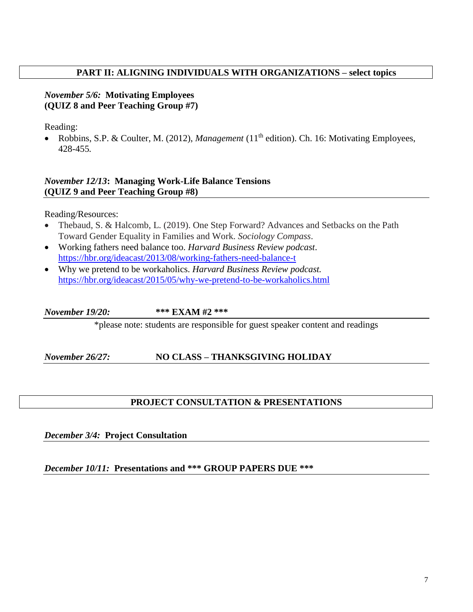# **PART II: ALIGNING INDIVIDUALS WITH ORGANIZATIONS – select topics**

# *November 5/6:* **Motivating Employees (QUIZ 8 and Peer Teaching Group #7)**

Reading:

• Robbins, S.P. & Coulter, M. (2012), *Management* (11<sup>th</sup> edition). Ch. 16: Motivating Employees, 428-455*.* 

# *November 12/13***: Managing Work-Life Balance Tensions (QUIZ 9 and Peer Teaching Group #8)**

Reading/Resources:

- Thebaud, S. & Halcomb, L. (2019). One Step Forward? Advances and Setbacks on the Path Toward Gender Equality in Families and Work. *Sociology Compass*.
- Working fathers need balance too. *Harvard Business Review podcast*. <https://hbr.org/ideacast/2013/08/working-fathers-need-balance-t>
- Why we pretend to be workaholics. *Harvard Business Review podcast.*  <https://hbr.org/ideacast/2015/05/why-we-pretend-to-be-workaholics.html>

*November 19/20:* **\*\*\* EXAM #2 \*\*\***

\*please note: students are responsible for guest speaker content and readings

# *November 26/27:* **NO CLASS – THANKSGIVING HOLIDAY**

# **PROJECT CONSULTATION & PRESENTATIONS**

*December 3/4:* **Project Consultation**

*December 10/11:* **Presentations and \*\*\* GROUP PAPERS DUE \*\*\***